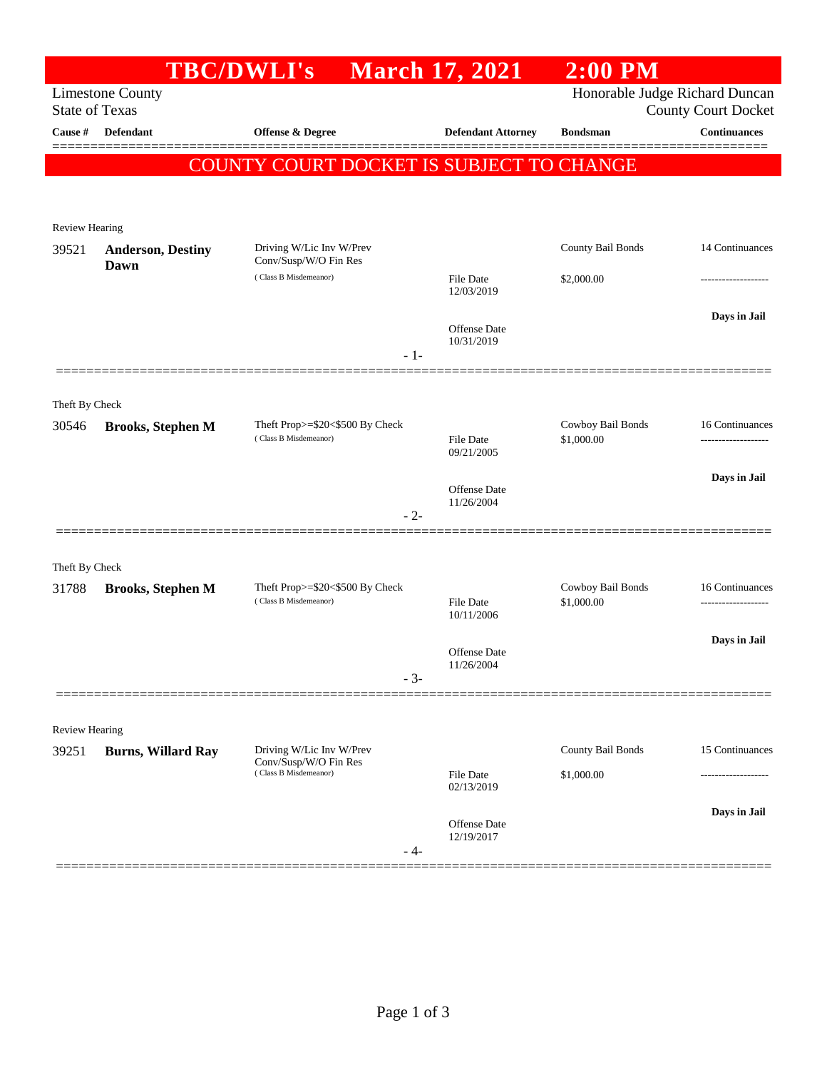|                       |                                  | <b>TBC/DWLI's</b>                                            | <b>March 17, 2021</b>          | <b>2:00 PM</b>                  |                      |
|-----------------------|----------------------------------|--------------------------------------------------------------|--------------------------------|---------------------------------|----------------------|
| <b>State of Texas</b> | <b>Limestone County</b>          | Honorable Judge Richard Duncan<br><b>County Court Docket</b> |                                |                                 |                      |
| Cause #               | <b>Defendant</b>                 | <b>Offense &amp; Degree</b>                                  | <b>Defendant Attorney</b>      | <b>Bondsman</b>                 | <b>Continuances</b>  |
|                       |                                  | <b>COUNTY COURT DOCKET IS SUBJECT TO CHANGE</b>              |                                |                                 |                      |
|                       |                                  |                                                              |                                |                                 |                      |
| Review Hearing        |                                  |                                                              |                                |                                 |                      |
| 39521                 | <b>Anderson, Destiny</b><br>Dawn | Driving W/Lic Inv W/Prev<br>Conv/Susp/W/O Fin Res            |                                | County Bail Bonds               | 14 Continuances      |
|                       |                                  | (Class B Misdemeanor)                                        | <b>File Date</b><br>12/03/2019 | \$2,000.00                      |                      |
|                       |                                  | $-1-$                                                        | Offense Date<br>10/31/2019     |                                 | Days in Jail         |
|                       |                                  |                                                              |                                |                                 |                      |
| Theft By Check        |                                  |                                                              |                                |                                 |                      |
| 30546                 | <b>Brooks, Stephen M</b>         | Theft Prop>=\$20<\$500 By Check<br>(Class B Misdemeanor)     | <b>File Date</b><br>09/21/2005 | Cowboy Bail Bonds<br>\$1,000.00 | 16 Continuances<br>. |
|                       |                                  |                                                              | <b>Offense</b> Date            |                                 | Days in Jail         |
|                       |                                  | $-2-$                                                        | 11/26/2004                     |                                 |                      |
| Theft By Check        |                                  |                                                              |                                |                                 |                      |
| 31788                 | <b>Brooks, Stephen M</b>         | Theft Prop>=\$20<\$500 By Check<br>(Class B Misdemeanor)     | File Date<br>10/11/2006        | Cowboy Bail Bonds<br>\$1,000.00 | 16 Continuances<br>. |
|                       |                                  |                                                              |                                |                                 | Days in Jail         |
|                       |                                  | $-3-$                                                        | Offense Date<br>11/26/2004     |                                 |                      |
|                       |                                  |                                                              |                                |                                 |                      |
| <b>Review Hearing</b> |                                  |                                                              |                                |                                 |                      |
| 39251                 | <b>Burns, Willard Ray</b>        | Driving W/Lic Inv W/Prev<br>Conv/Susp/W/O Fin Res            |                                | County Bail Bonds               | 15 Continuances      |
|                       |                                  | (Class B Misdemeanor)                                        | <b>File Date</b><br>02/13/2019 | \$1,000.00                      |                      |
|                       |                                  | $-4-$                                                        | Offense Date<br>12/19/2017     |                                 | Days in Jail         |
|                       |                                  |                                                              |                                |                                 |                      |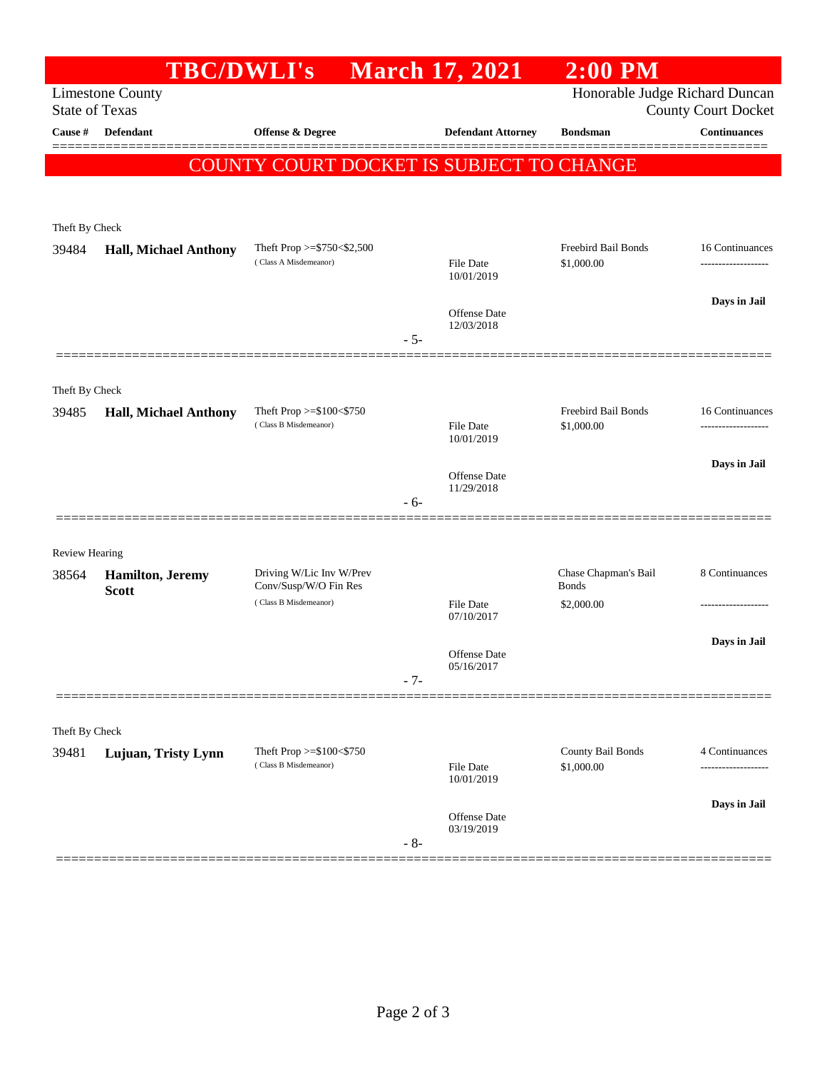|                                                  | <b>TBC/DWLI's</b>            |                                                   |       | <b>March 17, 2021</b>             | $2:00$ PM                                                    |                                 |
|--------------------------------------------------|------------------------------|---------------------------------------------------|-------|-----------------------------------|--------------------------------------------------------------|---------------------------------|
| <b>Limestone County</b><br><b>State of Texas</b> |                              |                                                   |       |                                   | Honorable Judge Richard Duncan<br><b>County Court Docket</b> |                                 |
| Cause #                                          | Defendant                    | <b>Offense &amp; Degree</b>                       |       | <b>Defendant Attorney</b>         | <b>Bondsman</b>                                              | <b>Continuances</b>             |
|                                                  |                              | COUNTY COURT DOCKET IS SUBJECT TO CHANGE          |       |                                   |                                                              |                                 |
|                                                  |                              |                                                   |       |                                   |                                                              |                                 |
| Theft By Check                                   |                              |                                                   |       |                                   |                                                              |                                 |
| 39484                                            | <b>Hall, Michael Anthony</b> | Theft Prop $>=$ \$750 < \$2,500                   |       |                                   | Freebird Bail Bonds                                          | 16 Continuances                 |
|                                                  |                              | (Class A Misdemeanor)                             |       | <b>File Date</b><br>10/01/2019    | \$1,000.00                                                   | -------------------             |
|                                                  |                              |                                                   |       |                                   |                                                              | Days in Jail                    |
|                                                  |                              |                                                   |       | <b>Offense Date</b><br>12/03/2018 |                                                              |                                 |
|                                                  |                              |                                                   | $-5-$ |                                   |                                                              |                                 |
| Theft By Check                                   |                              |                                                   |       |                                   |                                                              |                                 |
| 39485                                            | <b>Hall, Michael Anthony</b> | Theft Prop >=\$100<\$750                          |       |                                   | Freebird Bail Bonds                                          | 16 Continuances                 |
|                                                  |                              | (Class B Misdemeanor)                             |       | File Date<br>10/01/2019           | \$1,000.00                                                   | -------------------             |
|                                                  |                              |                                                   |       | <b>Offense Date</b>               |                                                              | Days in Jail                    |
|                                                  |                              |                                                   | - 6-  | 11/29/2018                        |                                                              |                                 |
|                                                  |                              |                                                   |       |                                   |                                                              |                                 |
| <b>Review Hearing</b>                            |                              |                                                   |       |                                   |                                                              |                                 |
| 38564                                            | Hamilton, Jeremy             | Driving W/Lic Inv W/Prev<br>Conv/Susp/W/O Fin Res |       |                                   | Chase Chapman's Bail<br><b>Bonds</b>                         | 8 Continuances                  |
|                                                  | <b>Scott</b>                 | (Class B Misdemeanor)                             |       | File Date                         | \$2,000.00                                                   |                                 |
|                                                  |                              |                                                   |       | 07/10/2017                        |                                                              | Days in Jail                    |
|                                                  |                              |                                                   |       | <b>Offense Date</b><br>05/16/2017 |                                                              |                                 |
|                                                  |                              |                                                   | $-7-$ |                                   |                                                              |                                 |
|                                                  |                              |                                                   |       |                                   |                                                              |                                 |
| Theft By Check                                   |                              |                                                   |       |                                   |                                                              |                                 |
| 39481                                            | Lujuan, Tristy Lynn          | Theft Prop >=\$100<\$750<br>(Class B Misdemeanor) |       | <b>File Date</b><br>10/01/2019    | County Bail Bonds<br>\$1,000.00                              | 4 Continuances<br>------------- |
|                                                  |                              |                                                   |       | Offense Date                      |                                                              | Days in Jail                    |
|                                                  |                              |                                                   | $-8-$ | 03/19/2019                        |                                                              |                                 |
|                                                  |                              |                                                   |       |                                   |                                                              |                                 |